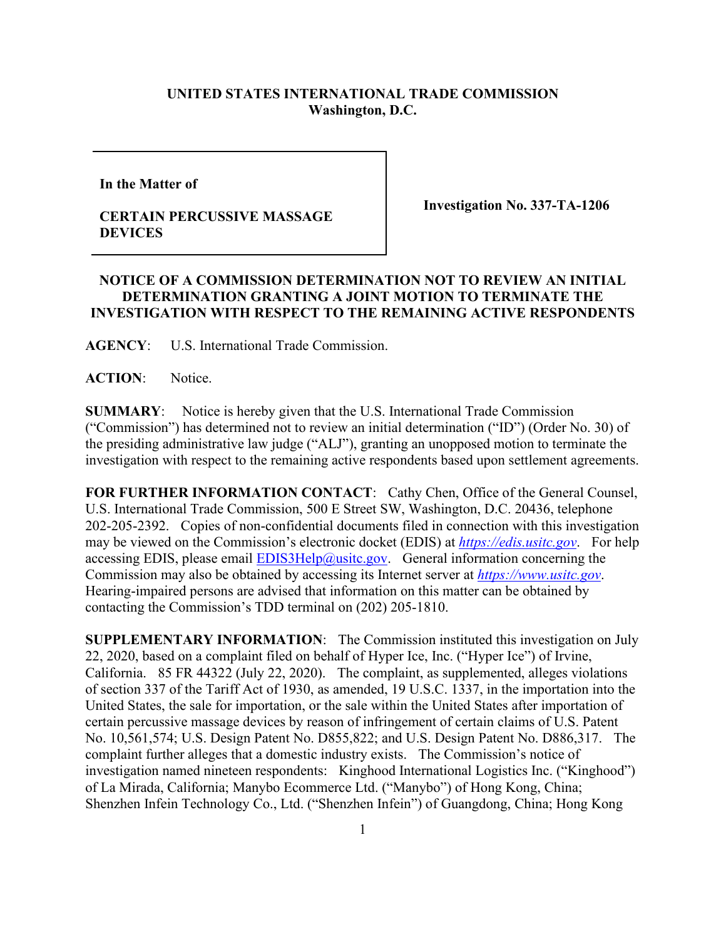## **UNITED STATES INTERNATIONAL TRADE COMMISSION Washington, D.C.**

**In the Matter of** 

## **CERTAIN PERCUSSIVE MASSAGE DEVICES**

**Investigation No. 337-TA-1206**

## **NOTICE OF A COMMISSION DETERMINATION NOT TO REVIEW AN INITIAL DETERMINATION GRANTING A JOINT MOTION TO TERMINATE THE INVESTIGATION WITH RESPECT TO THE REMAINING ACTIVE RESPONDENTS**

**AGENCY**: U.S. International Trade Commission.

ACTION: Notice.

**SUMMARY**: Notice is hereby given that the U.S. International Trade Commission ("Commission") has determined not to review an initial determination ("ID") (Order No. 30) of the presiding administrative law judge ("ALJ"), granting an unopposed motion to terminate the investigation with respect to the remaining active respondents based upon settlement agreements.

**FOR FURTHER INFORMATION CONTACT**: Cathy Chen, Office of the General Counsel, U.S. International Trade Commission, 500 E Street SW, Washington, D.C. 20436, telephone 202-205-2392. Copies of non-confidential documents filed in connection with this investigation may be viewed on the Commission's electronic docket (EDIS) at *[https://edis.usitc.gov](https://edis.usitc.gov/)*. For help accessing EDIS, please email  $EDIS3Help@ustc.gov$ . General information concerning the Commission may also be obtained by accessing its Internet server at *[https://www.usitc.gov](https://www.usitc.gov/)*. Hearing-impaired persons are advised that information on this matter can be obtained by contacting the Commission's TDD terminal on (202) 205-1810.

**SUPPLEMENTARY INFORMATION**: The Commission instituted this investigation on July 22, 2020, based on a complaint filed on behalf of Hyper Ice, Inc. ("Hyper Ice") of Irvine, California. 85 FR 44322 (July 22, 2020). The complaint, as supplemented, alleges violations of section 337 of the Tariff Act of 1930, as amended, 19 U.S.C. 1337, in the importation into the United States, the sale for importation, or the sale within the United States after importation of certain percussive massage devices by reason of infringement of certain claims of U.S. Patent No. 10,561,574; U.S. Design Patent No. D855,822; and U.S. Design Patent No. D886,317. The complaint further alleges that a domestic industry exists. The Commission's notice of investigation named nineteen respondents: Kinghood International Logistics Inc. ("Kinghood") of La Mirada, California; Manybo Ecommerce Ltd. ("Manybo") of Hong Kong, China; Shenzhen Infein Technology Co., Ltd. ("Shenzhen Infein") of Guangdong, China; Hong Kong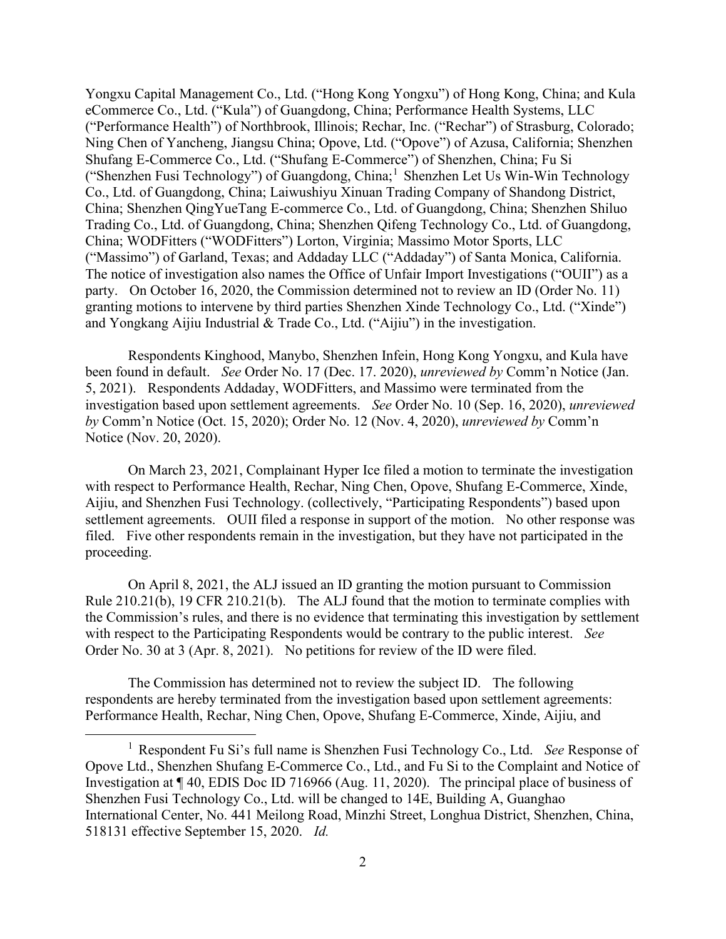Yongxu Capital Management Co., Ltd. ("Hong Kong Yongxu") of Hong Kong, China; and Kula eCommerce Co., Ltd. ("Kula") of Guangdong, China; Performance Health Systems, LLC ("Performance Health") of Northbrook, Illinois; Rechar, Inc. ("Rechar") of Strasburg, Colorado; Ning Chen of Yancheng, Jiangsu China; Opove, Ltd. ("Opove") of Azusa, California; Shenzhen Shufang E-Commerce Co., Ltd. ("Shufang E-Commerce") of Shenzhen, China; Fu Si ("Shenzhen Fusi Technology") of Guangdong, China;<sup>[1](#page-1-0)</sup> Shenzhen Let Us Win-Win Technology Co., Ltd. of Guangdong, China; Laiwushiyu Xinuan Trading Company of Shandong District, China; Shenzhen QingYueTang E-commerce Co., Ltd. of Guangdong, China; Shenzhen Shiluo Trading Co., Ltd. of Guangdong, China; Shenzhen Qifeng Technology Co., Ltd. of Guangdong, China; WODFitters ("WODFitters") Lorton, Virginia; Massimo Motor Sports, LLC ("Massimo") of Garland, Texas; and Addaday LLC ("Addaday") of Santa Monica, California. The notice of investigation also names the Office of Unfair Import Investigations ("OUII") as a party. On October 16, 2020, the Commission determined not to review an ID (Order No. 11) granting motions to intervene by third parties Shenzhen Xinde Technology Co., Ltd. ("Xinde") and Yongkang Aijiu Industrial & Trade Co., Ltd. ("Aijiu") in the investigation.

Respondents Kinghood, Manybo, Shenzhen Infein, Hong Kong Yongxu, and Kula have been found in default. *See* Order No. 17 (Dec. 17. 2020), *unreviewed by* Comm'n Notice (Jan. 5, 2021). Respondents Addaday, WODFitters, and Massimo were terminated from the investigation based upon settlement agreements. *See* Order No. 10 (Sep. 16, 2020), *unreviewed by* Comm'n Notice (Oct. 15, 2020); Order No. 12 (Nov. 4, 2020), *unreviewed by* Comm'n Notice (Nov. 20, 2020).

On March 23, 2021, Complainant Hyper Ice filed a motion to terminate the investigation with respect to Performance Health, Rechar, Ning Chen, Opove, Shufang E-Commerce, Xinde, Aijiu, and Shenzhen Fusi Technology. (collectively, "Participating Respondents") based upon settlement agreements. OUII filed a response in support of the motion. No other response was filed. Five other respondents remain in the investigation, but they have not participated in the proceeding.

On April 8, 2021, the ALJ issued an ID granting the motion pursuant to Commission Rule 210.21(b), 19 CFR 210.21(b). The ALJ found that the motion to terminate complies with the Commission's rules, and there is no evidence that terminating this investigation by settlement with respect to the Participating Respondents would be contrary to the public interest. *See*  Order No. 30 at 3 (Apr. 8, 2021). No petitions for review of the ID were filed.

The Commission has determined not to review the subject ID. The following respondents are hereby terminated from the investigation based upon settlement agreements: Performance Health, Rechar, Ning Chen, Opove, Shufang E-Commerce, Xinde, Aijiu, and

<span id="page-1-0"></span><sup>1</sup> Respondent Fu Si's full name is Shenzhen Fusi Technology Co., Ltd. *See* Response of Opove Ltd., Shenzhen Shufang E-Commerce Co., Ltd., and Fu Si to the Complaint and Notice of Investigation at ¶ 40, EDIS Doc ID 716966 (Aug. 11, 2020). The principal place of business of Shenzhen Fusi Technology Co., Ltd. will be changed to 14E, Building A, Guanghao International Center, No. 441 Meilong Road, Minzhi Street, Longhua District, Shenzhen, China, 518131 effective September 15, 2020. *Id.*